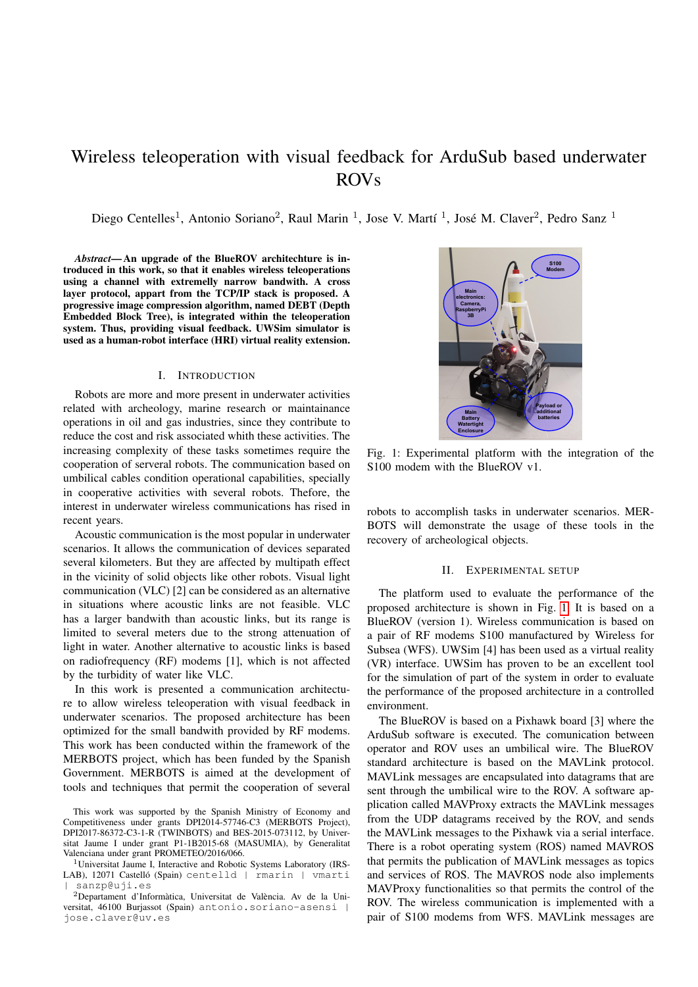# Wireless teleoperation with visual feedback for ArduSub based underwater ROVs

Diego Centelles<sup>1</sup>, Antonio Soriano<sup>2</sup>, Raul Marin<sup>1</sup>, Jose V. Martí<sup>1</sup>, José M. Claver<sup>2</sup>, Pedro Sanz<sup>1</sup>

*Abstract*— An upgrade of the BlueROV architechture is introduced in this work, so that it enables wireless teleoperations using a channel with extremelly narrow bandwith. A cross layer protocol, appart from the TCP/IP stack is proposed. A progressive image compression algorithm, named DEBT (Depth Embedded Block Tree), is integrated within the teleoperation system. Thus, providing visual feedback. UWSim simulator is used as a human-robot interface (HRI) virtual reality extension.

#### I. INTRODUCTION

Robots are more and more present in underwater activities related with archeology, marine research or maintainance operations in oil and gas industries, since they contribute to reduce the cost and risk associated whith these activities. The increasing complexity of these tasks sometimes require the cooperation of serveral robots. The communication based on umbilical cables condition operational capabilities, specially in cooperative activities with several robots. Thefore, the interest in underwater wireless communications has rised in recent years.

Acoustic communication is the most popular in underwater scenarios. It allows the communication of devices separated several kilometers. But they are affected by multipath effect in the vicinity of solid objects like other robots. Visual light communication (VLC) [2] can be considered as an alternative in situations where acoustic links are not feasible. VLC has a larger bandwith than acoustic links, but its range is limited to several meters due to the strong attenuation of light in water. Another alternative to acoustic links is based on radiofrequency (RF) modems [1], which is not affected by the turbidity of water like VLC.

In this work is presented a communication architecture to allow wireless teleoperation with visual feedback in underwater scenarios. The proposed architecture has been optimized for the small bandwith provided by RF modems. This work has been conducted within the framework of the MERBOTS project, which has been funded by the Spanish Government. MERBOTS is aimed at the development of tools and techniques that permit the cooperation of several

<span id="page-0-0"></span>

Fig. 1: Experimental platform with the integration of the S100 modem with the BlueROV v1.

robots to accomplish tasks in underwater scenarios. MER-BOTS will demonstrate the usage of these tools in the recovery of archeological objects.

## II. EXPERIMENTAL SETUP

The platform used to evaluate the performance of the proposed architecture is shown in Fig. [1.](#page-0-0) It is based on a BlueROV (version 1). Wireless communication is based on a pair of RF modems S100 manufactured by Wireless for Subsea (WFS). UWSim [4] has been used as a virtual reality (VR) interface. UWSim has proven to be an excellent tool for the simulation of part of the system in order to evaluate the performance of the proposed architecture in a controlled environment.

The BlueROV is based on a Pixhawk board [3] where the ArduSub software is executed. The comunication between operator and ROV uses an umbilical wire. The BlueROV standard architecture is based on the MAVLink protocol. MAVLink messages are encapsulated into datagrams that are sent through the umbilical wire to the ROV. A software application called MAVProxy extracts the MAVLink messages from the UDP datagrams received by the ROV, and sends the MAVLink messages to the Pixhawk via a serial interface. There is a robot operating system (ROS) named MAVROS that permits the publication of MAVLink messages as topics and services of ROS. The MAVROS node also implements MAVProxy functionalities so that permits the control of the ROV. The wireless communication is implemented with a pair of S100 modems from WFS. MAVLink messages are

This work was supported by the Spanish Ministry of Economy and Competitiveness under grants DPI2014-57746-C3 (MERBOTS Project), DPI2017-86372-C3-1-R (TWINBOTS) and BES-2015-073112, by Universitat Jaume I under grant P1-1B2015-68 (MASUMIA), by Generalitat Valenciana under grant PROMETEO/2016/066.

<sup>&</sup>lt;sup>1</sup>Universitat Jaume I, Interactive and Robotic Systems Laboratory (IRS-LAB), 12071 Castelló (Spain) centelld | rmarin | vmarti | sanzp@uji.es

 $2$ Departament d'Informàtica, Universitat de València. Av de la Universitat, 46100 Burjassot (Spain) antonio.soriano-asensi | jose.claver@uv.es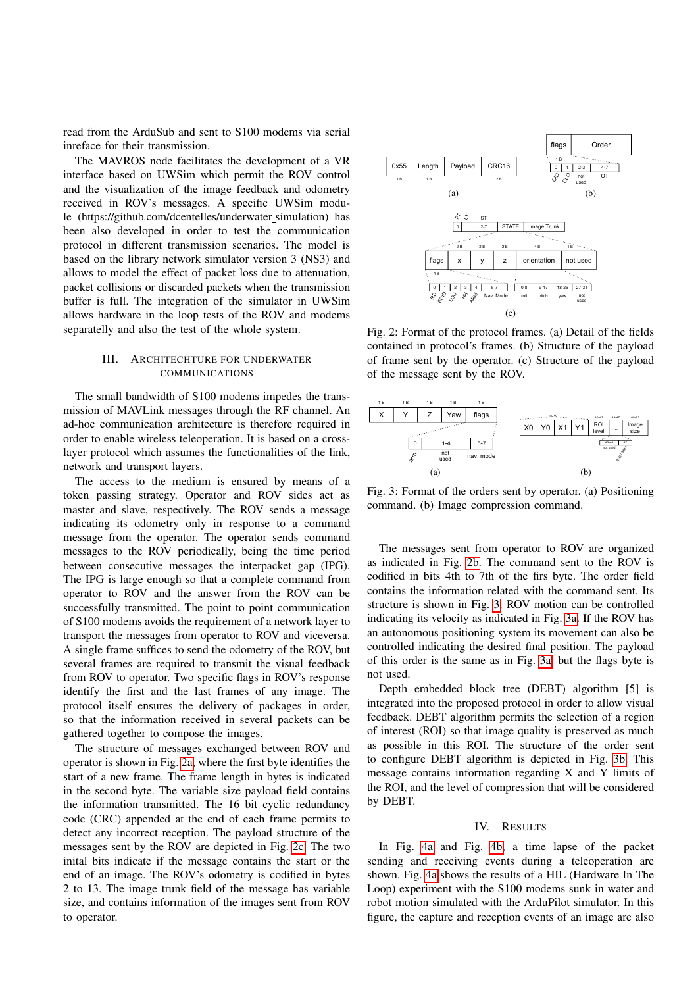read from the ArduSub and sent to S100 modems via serial inreface for their transmission.

The MAVROS node facilitates the development of a VR interface based on UWSim which permit the ROV control and the visualization of the image feedback and odometry received in ROV's messages. A specific UWSim module (https://github.com/dcentelles/underwater simulation) has been also developed in order to test the communication protocol in different transmission scenarios. The model is based on the library network simulator version 3 (NS3) and allows to model the effect of packet loss due to attenuation, packet collisions or discarded packets when the transmission buffer is full. The integration of the simulator in UWSim allows hardware in the loop tests of the ROV and modems separatelly and also the test of the whole system.

## III. ARCHITECHTURE FOR UNDERWATER COMMUNICATIONS

The small bandwidth of S100 modems impedes the transmission of MAVLink messages through the RF channel. An ad-hoc communication architecture is therefore required in order to enable wireless teleoperation. It is based on a crosslayer protocol which assumes the functionalities of the link, network and transport layers.

The access to the medium is ensured by means of a token passing strategy. Operator and ROV sides act as master and slave, respectively. The ROV sends a message indicating its odometry only in response to a command message from the operator. The operator sends command messages to the ROV periodically, being the time period between consecutive messages the interpacket gap (IPG). The IPG is large enough so that a complete command from operator to ROV and the answer from the ROV can be successfully transmitted. The point to point communication of S100 modems avoids the requirement of a network layer to transport the messages from operator to ROV and viceversa. A single frame suffices to send the odometry of the ROV, but several frames are required to transmit the visual feedback from ROV to operator. Two specific flags in ROV's response identify the first and the last frames of any image. The protocol itself ensures the delivery of packages in order, so that the information received in several packets can be gathered together to compose the images.

The structure of messages exchanged between ROV and operator is shown in Fig. [2a,](#page-1-0) where the first byte identifies the start of a new frame. The frame length in bytes is indicated in the second byte. The variable size payload field contains the information transmitted. The 16 bit cyclic redundancy code (CRC) appended at the end of each frame permits to detect any incorrect reception. The payload structure of the messages sent by the ROV are depicted in Fig. [2c.](#page-1-1) The two inital bits indicate if the message contains the start or the end of an image. The ROV's odometry is codified in bytes 2 to 13. The image trunk field of the message has variable size, and contains information of the images sent from ROV to operator.

<span id="page-1-2"></span><span id="page-1-1"></span><span id="page-1-0"></span>

Fig. 2: Format of the protocol frames. (a) Detail of the fields contained in protocol's frames. (b) Structure of the payload of frame sent by the operator. (c) Structure of the payload of the message sent by the ROV.

<span id="page-1-4"></span><span id="page-1-3"></span>

<span id="page-1-5"></span>Fig. 3: Format of the orders sent by operator. (a) Positioning command. (b) Image compression command.

The messages sent from operator to ROV are organized as indicated in Fig. [2b.](#page-1-2) The command sent to the ROV is codified in bits 4th to 7th of the firs byte. The order field contains the information related with the command sent. Its structure is shown in Fig. [3.](#page-1-3) ROV motion can be controlled indicating its velocity as indicated in Fig. [3a.](#page-1-4) If the ROV has an autonomous positioning system its movement can also be controlled indicating the desired final position. The payload of this order is the same as in Fig. [3a,](#page-1-4) but the flags byte is not used.

Depth embedded block tree (DEBT) algorithm [5] is integrated into the proposed protocol in order to allow visual feedback. DEBT algorithm permits the selection of a region of interest (ROI) so that image quality is preserved as much as possible in this ROI. The structure of the order sent to configure DEBT algorithm is depicted in Fig. [3b.](#page-1-5) This message contains information regarding X and Y limits of the ROI, and the level of compression that will be considered by DEBT.

## IV. RESULTS

In Fig. [4a](#page-2-0) and Fig. [4b,](#page-2-1) a time lapse of the packet sending and receiving events during a teleoperation are shown. Fig. [4a](#page-2-0) shows the results of a HIL (Hardware In The Loop) experiment with the S100 modems sunk in water and robot motion simulated with the ArduPilot simulator. In this figure, the capture and reception events of an image are also